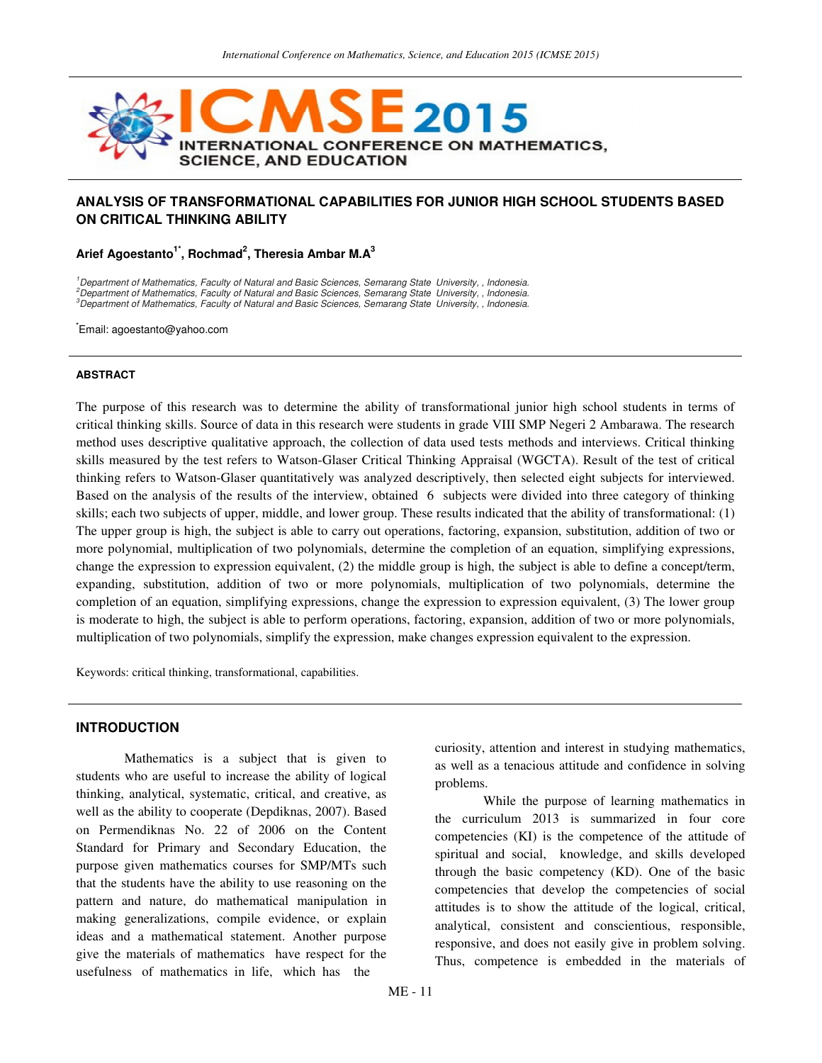

# **ANALYSIS OF TRANSFORMATIONAL CAPABILITIES FOR JUNIOR HIGH SCHOOL STUDENTS BASED ON CRITICAL THINKING ABILITY**

**Arief Agoestanto1\*, Rochmad<sup>2</sup> , Theresia Ambar M.A<sup>3</sup>**

<sup>1</sup>Department of Mathematics, Faculty of Natural and Basic Sciences, Semarang State University, , Indonesia.  $^2$ Department of Mathematics, Faculty of Natural and Basic Sciences, Semarang State University, , Indonesia. <sup>3</sup>Department of Mathematics, Faculty of Natural and Basic Sciences, Semarang State University, , Indonesia.

**\***Email: agoestanto@yahoo.com

#### **ABSTRACT**

The purpose of this research was to determine the ability of transformational junior high school students in terms of critical thinking skills. Source of data in this research were students in grade VIII SMP Negeri 2 Ambarawa. The research method uses descriptive qualitative approach, the collection of data used tests methods and interviews. Critical thinking skills measured by the test refers to Watson-Glaser Critical Thinking Appraisal (WGCTA). Result of the test of critical thinking refers to Watson-Glaser quantitatively was analyzed descriptively, then selected eight subjects for interviewed. Based on the analysis of the results of the interview, obtained 6 subjects were divided into three category of thinking skills; each two subjects of upper, middle, and lower group. These results indicated that the ability of transformational: (1) The upper group is high, the subject is able to carry out operations, factoring, expansion, substitution, addition of two or more polynomial, multiplication of two polynomials, determine the completion of an equation, simplifying expressions, change the expression to expression equivalent, (2) the middle group is high, the subject is able to define a concept/term, expanding, substitution, addition of two or more polynomials, multiplication of two polynomials, determine the completion of an equation, simplifying expressions, change the expression to expression equivalent, (3) The lower group is moderate to high, the subject is able to perform operations, factoring, expansion, addition of two or more polynomials, multiplication of two polynomials, simplify the expression, make changes expression equivalent to the expression.

Keywords: critical thinking, transformational, capabilities.

## **INTRODUCTION**

Mathematics is a subject that is given to students who are useful to increase the ability of logical thinking, analytical, systematic, critical, and creative, as well as the ability to cooperate (Depdiknas, 2007). Based on Permendiknas No. 22 of 2006 on the Content Standard for Primary and Secondary Education, the purpose given mathematics courses for SMP/MTs such that the students have the ability to use reasoning on the pattern and nature, do mathematical manipulation in making generalizations, compile evidence, or explain ideas and a mathematical statement. Another purpose give the materials of mathematics have respect for the usefulness of mathematics in life, which has the

curiosity, attention and interest in studying mathematics, as well as a tenacious attitude and confidence in solving problems.

While the purpose of learning mathematics in the curriculum 2013 is summarized in four core competencies (KI) is the competence of the attitude of spiritual and social, knowledge, and skills developed through the basic competency (KD). One of the basic competencies that develop the competencies of social attitudes is to show the attitude of the logical, critical, analytical, consistent and conscientious, responsible, responsive, and does not easily give in problem solving. Thus, competence is embedded in the materials of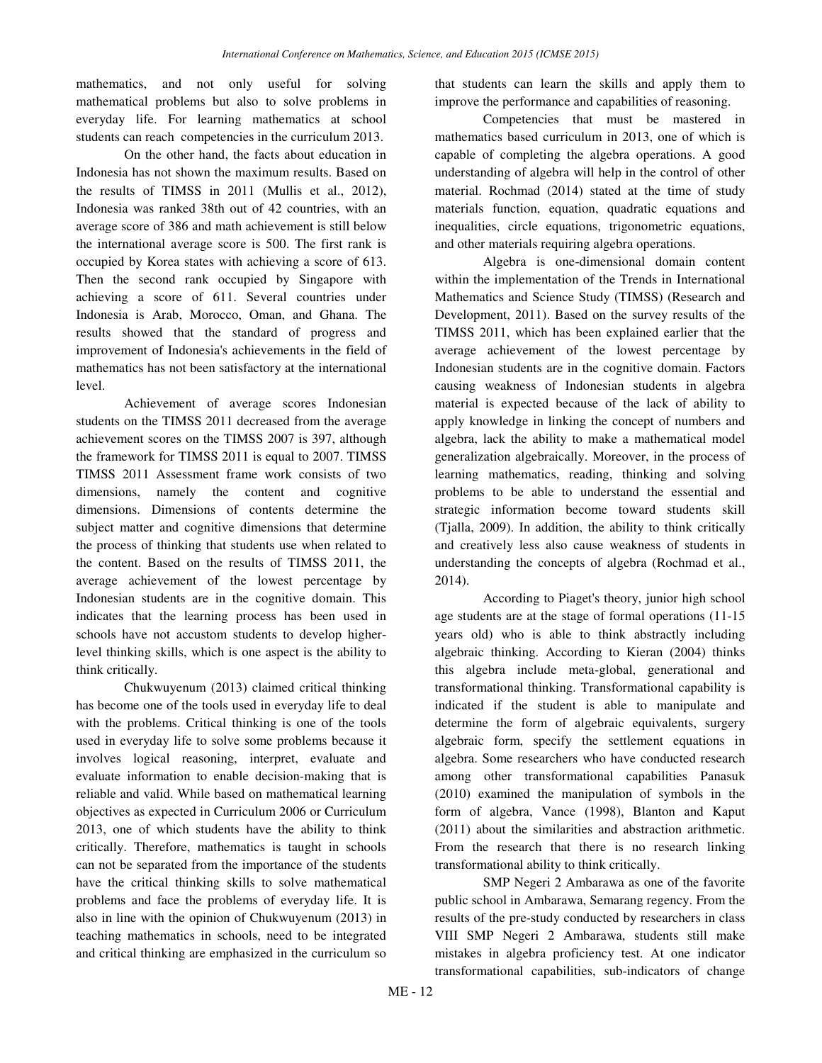mathematics, and not only useful for solving mathematical problems but also to solve problems in everyday life. For learning mathematics at school students can reach competencies in the curriculum 2013.

On the other hand, the facts about education in Indonesia has not shown the maximum results. Based on the results of TIMSS in 2011 (Mullis et al., 2012), Indonesia was ranked 38th out of 42 countries, with an average score of 386 and math achievement is still below the international average score is 500. The first rank is occupied by Korea states with achieving a score of 613. Then the second rank occupied by Singapore with achieving a score of 611. Several countries under Indonesia is Arab, Morocco, Oman, and Ghana. The results showed that the standard of progress and improvement of Indonesia's achievements in the field of mathematics has not been satisfactory at the international level.

Achievement of average scores Indonesian students on the TIMSS 2011 decreased from the average achievement scores on the TIMSS 2007 is 397, although the framework for TIMSS 2011 is equal to 2007. TIMSS TIMSS 2011 Assessment frame work consists of two dimensions, namely the content and cognitive dimensions. Dimensions of contents determine the subject matter and cognitive dimensions that determine the process of thinking that students use when related to the content. Based on the results of TIMSS 2011, the average achievement of the lowest percentage by Indonesian students are in the cognitive domain. This indicates that the learning process has been used in schools have not accustom students to develop higherlevel thinking skills, which is one aspect is the ability to think critically.

Chukwuyenum (2013) claimed critical thinking has become one of the tools used in everyday life to deal with the problems. Critical thinking is one of the tools used in everyday life to solve some problems because it involves logical reasoning, interpret, evaluate and evaluate information to enable decision-making that is reliable and valid. While based on mathematical learning objectives as expected in Curriculum 2006 or Curriculum 2013, one of which students have the ability to think critically. Therefore, mathematics is taught in schools can not be separated from the importance of the students have the critical thinking skills to solve mathematical problems and face the problems of everyday life. It is also in line with the opinion of Chukwuyenum (2013) in teaching mathematics in schools, need to be integrated and critical thinking are emphasized in the curriculum so that students can learn the skills and apply them to improve the performance and capabilities of reasoning.

Competencies that must be mastered in mathematics based curriculum in 2013, one of which is capable of completing the algebra operations. A good understanding of algebra will help in the control of other material. Rochmad (2014) stated at the time of study materials function, equation, quadratic equations and inequalities, circle equations, trigonometric equations, and other materials requiring algebra operations.

 Algebra is one-dimensional domain content within the implementation of the Trends in International Mathematics and Science Study (TIMSS) (Research and Development, 2011). Based on the survey results of the TIMSS 2011, which has been explained earlier that the average achievement of the lowest percentage by Indonesian students are in the cognitive domain. Factors causing weakness of Indonesian students in algebra material is expected because of the lack of ability to apply knowledge in linking the concept of numbers and algebra, lack the ability to make a mathematical model generalization algebraically. Moreover, in the process of learning mathematics, reading, thinking and solving problems to be able to understand the essential and strategic information become toward students skill (Tjalla, 2009). In addition, the ability to think critically and creatively less also cause weakness of students in understanding the concepts of algebra (Rochmad et al., 2014).

According to Piaget's theory, junior high school age students are at the stage of formal operations (11-15 years old) who is able to think abstractly including algebraic thinking. According to Kieran (2004) thinks this algebra include meta-global, generational and transformational thinking. Transformational capability is indicated if the student is able to manipulate and determine the form of algebraic equivalents, surgery algebraic form, specify the settlement equations in algebra. Some researchers who have conducted research among other transformational capabilities Panasuk (2010) examined the manipulation of symbols in the form of algebra, Vance (1998), Blanton and Kaput (2011) about the similarities and abstraction arithmetic. From the research that there is no research linking transformational ability to think critically.

SMP Negeri 2 Ambarawa as one of the favorite public school in Ambarawa, Semarang regency. From the results of the pre-study conducted by researchers in class VIII SMP Negeri 2 Ambarawa, students still make mistakes in algebra proficiency test. At one indicator transformational capabilities, sub-indicators of change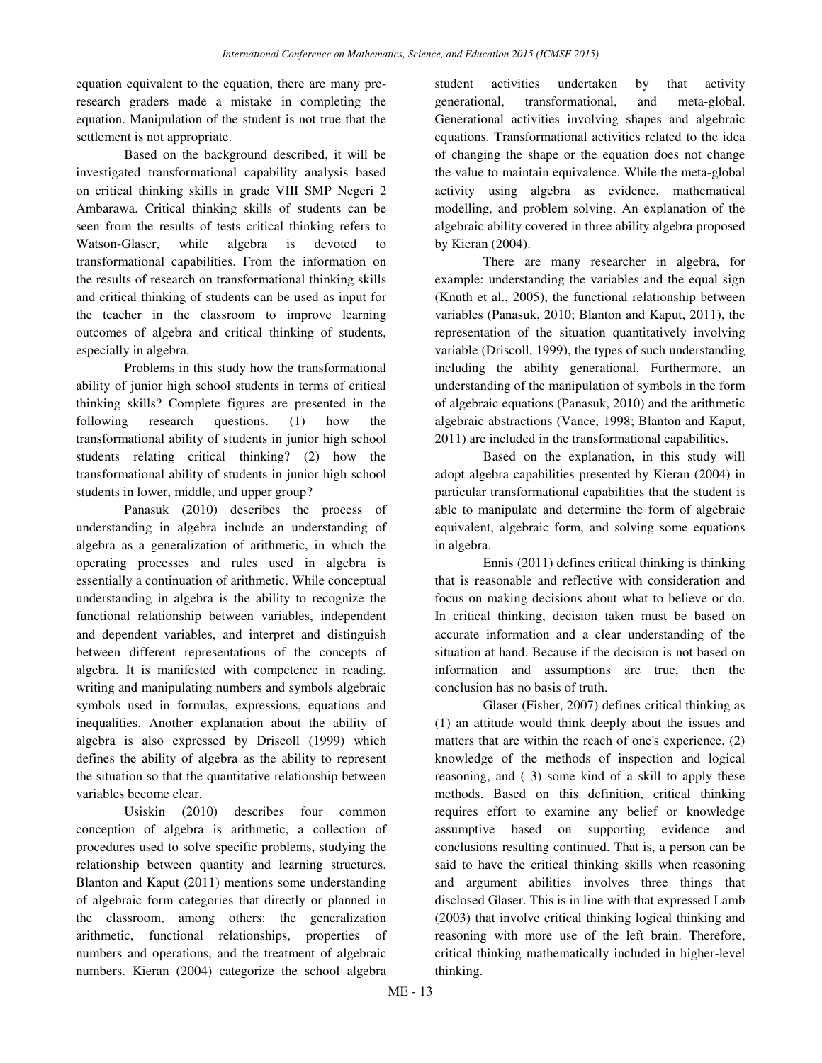equation equivalent to the equation, there are many preresearch graders made a mistake in completing the equation. Manipulation of the student is not true that the settlement is not appropriate.

Based on the background described, it will be investigated transformational capability analysis based on critical thinking skills in grade VIII SMP Negeri 2 Ambarawa. Critical thinking skills of students can be seen from the results of tests critical thinking refers to Watson-Glaser, while algebra is devoted to transformational capabilities. From the information on the results of research on transformational thinking skills and critical thinking of students can be used as input for the teacher in the classroom to improve learning outcomes of algebra and critical thinking of students, especially in algebra.

Problems in this study how the transformational ability of junior high school students in terms of critical thinking skills? Complete figures are presented in the following research questions. (1) how the transformational ability of students in junior high school students relating critical thinking? (2) how the transformational ability of students in junior high school students in lower, middle, and upper group?

Panasuk (2010) describes the process of understanding in algebra include an understanding of algebra as a generalization of arithmetic, in which the operating processes and rules used in algebra is essentially a continuation of arithmetic. While conceptual understanding in algebra is the ability to recognize the functional relationship between variables, independent and dependent variables, and interpret and distinguish between different representations of the concepts of algebra. It is manifested with competence in reading, writing and manipulating numbers and symbols algebraic symbols used in formulas, expressions, equations and inequalities. Another explanation about the ability of algebra is also expressed by Driscoll (1999) which defines the ability of algebra as the ability to represent the situation so that the quantitative relationship between variables become clear.

Usiskin (2010) describes four common conception of algebra is arithmetic, a collection of procedures used to solve specific problems, studying the relationship between quantity and learning structures. Blanton and Kaput (2011) mentions some understanding of algebraic form categories that directly or planned in the classroom, among others: the generalization arithmetic, functional relationships, properties of numbers and operations, and the treatment of algebraic numbers. Kieran (2004) categorize the school algebra

student activities undertaken by that activity generational, transformational, and meta-global. Generational activities involving shapes and algebraic equations. Transformational activities related to the idea of changing the shape or the equation does not change the value to maintain equivalence. While the meta-global activity using algebra as evidence, mathematical modelling, and problem solving. An explanation of the algebraic ability covered in three ability algebra proposed by Kieran (2004).

There are many researcher in algebra, for example: understanding the variables and the equal sign (Knuth et al., 2005), the functional relationship between variables (Panasuk, 2010; Blanton and Kaput, 2011), the representation of the situation quantitatively involving variable (Driscoll, 1999), the types of such understanding including the ability generational. Furthermore, an understanding of the manipulation of symbols in the form of algebraic equations (Panasuk, 2010) and the arithmetic algebraic abstractions (Vance, 1998; Blanton and Kaput, 2011) are included in the transformational capabilities.

Based on the explanation, in this study will adopt algebra capabilities presented by Kieran (2004) in particular transformational capabilities that the student is able to manipulate and determine the form of algebraic equivalent, algebraic form, and solving some equations in algebra.

Ennis (2011) defines critical thinking is thinking that is reasonable and reflective with consideration and focus on making decisions about what to believe or do. In critical thinking, decision taken must be based on accurate information and a clear understanding of the situation at hand. Because if the decision is not based on information and assumptions are true, then the conclusion has no basis of truth.

Glaser (Fisher, 2007) defines critical thinking as (1) an attitude would think deeply about the issues and matters that are within the reach of one's experience, (2) knowledge of the methods of inspection and logical reasoning, and ( 3) some kind of a skill to apply these methods. Based on this definition, critical thinking requires effort to examine any belief or knowledge assumptive based on supporting evidence and conclusions resulting continued. That is, a person can be said to have the critical thinking skills when reasoning and argument abilities involves three things that disclosed Glaser. This is in line with that expressed Lamb (2003) that involve critical thinking logical thinking and reasoning with more use of the left brain. Therefore, critical thinking mathematically included in higher-level thinking.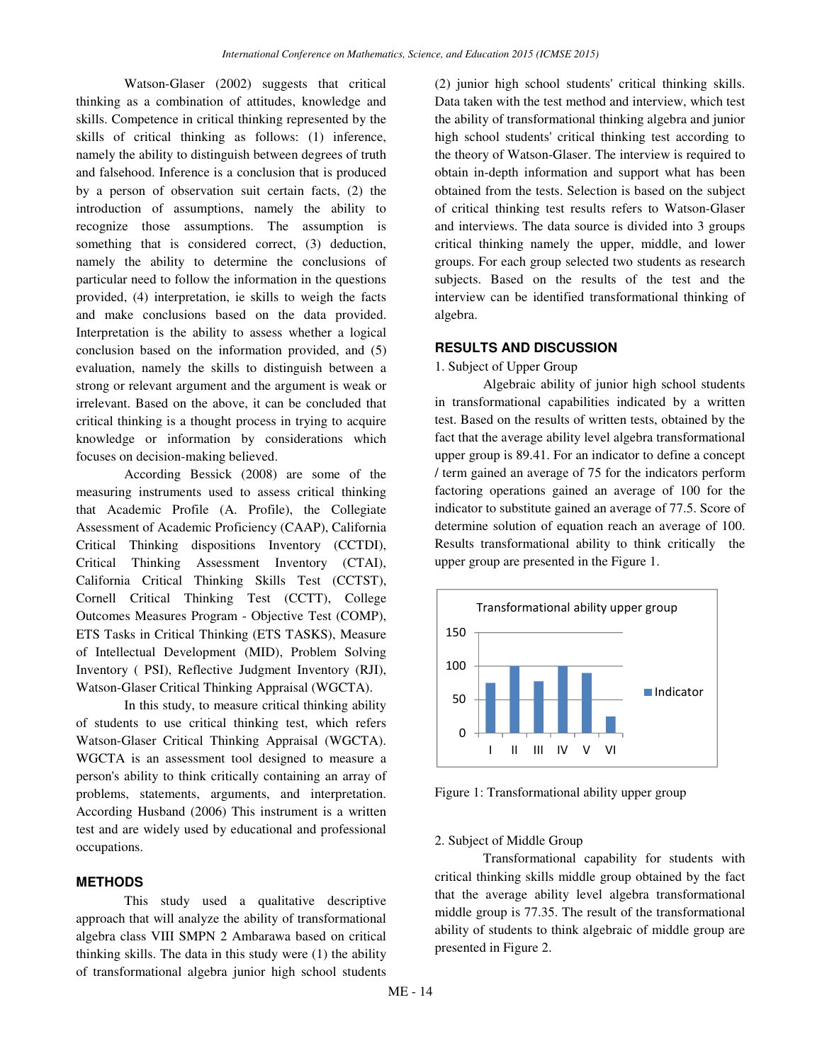Watson-Glaser (2002) suggests that critical thinking as a combination of attitudes, knowledge and skills. Competence in critical thinking represented by the skills of critical thinking as follows: (1) inference, namely the ability to distinguish between degrees of truth and falsehood. Inference is a conclusion that is produced by a person of observation suit certain facts, (2) the introduction of assumptions, namely the ability to recognize those assumptions. The assumption is something that is considered correct, (3) deduction, namely the ability to determine the conclusions of particular need to follow the information in the questions provided, (4) interpretation, ie skills to weigh the facts and make conclusions based on the data provided. Interpretation is the ability to assess whether a logical conclusion based on the information provided, and (5) evaluation, namely the skills to distinguish between a strong or relevant argument and the argument is weak or irrelevant. Based on the above, it can be concluded that critical thinking is a thought process in trying to acquire knowledge or information by considerations which focuses on decision-making believed.

According Bessick (2008) are some of the measuring instruments used to assess critical thinking that Academic Profile (A. Profile), the Collegiate Assessment of Academic Proficiency (CAAP), California Critical Thinking dispositions Inventory (CCTDI), Critical Thinking Assessment Inventory (CTAI), California Critical Thinking Skills Test (CCTST), Cornell Critical Thinking Test (CCTT), College Outcomes Measures Program - Objective Test (COMP), ETS Tasks in Critical Thinking (ETS TASKS), Measure of Intellectual Development (MID), Problem Solving Inventory ( PSI), Reflective Judgment Inventory (RJI), Watson-Glaser Critical Thinking Appraisal (WGCTA).

In this study, to measure critical thinking ability of students to use critical thinking test, which refers Watson-Glaser Critical Thinking Appraisal (WGCTA). WGCTA is an assessment tool designed to measure a person's ability to think critically containing an array of problems, statements, arguments, and interpretation. According Husband (2006) This instrument is a written test and are widely used by educational and professional occupations.

### **METHODS**

This study used a qualitative descriptive approach that will analyze the ability of transformational algebra class VIII SMPN 2 Ambarawa based on critical thinking skills. The data in this study were (1) the ability of transformational algebra junior high school students

(2) junior high school students' critical thinking skills. Data taken with the test method and interview, which test the ability of transformational thinking algebra and junior high school students' critical thinking test according to the theory of Watson-Glaser. The interview is required to obtain in-depth information and support what has been obtained from the tests. Selection is based on the subject of critical thinking test results refers to Watson-Glaser and interviews. The data source is divided into 3 groups critical thinking namely the upper, middle, and lower groups. For each group selected two students as research subjects. Based on the results of the test and the interview can be identified transformational thinking of algebra.

### **RESULTS AND DISCUSSION**

1. Subject of Upper Group

Algebraic ability of junior high school students in transformational capabilities indicated by a written test. Based on the results of written tests, obtained by the fact that the average ability level algebra transformational upper group is 89.41. For an indicator to define a concept / term gained an average of 75 for the indicators perform factoring operations gained an average of 100 for the indicator to substitute gained an average of 77.5. Score of determine solution of equation reach an average of 100. Results transformational ability to think critically the upper group are presented in the Figure 1.



Figure 1: Transformational ability upper group

# 2. Subject of Middle Group

Transformational capability for students with critical thinking skills middle group obtained by the fact that the average ability level algebra transformational middle group is 77.35. The result of the transformational ability of students to think algebraic of middle group are presented in Figure 2.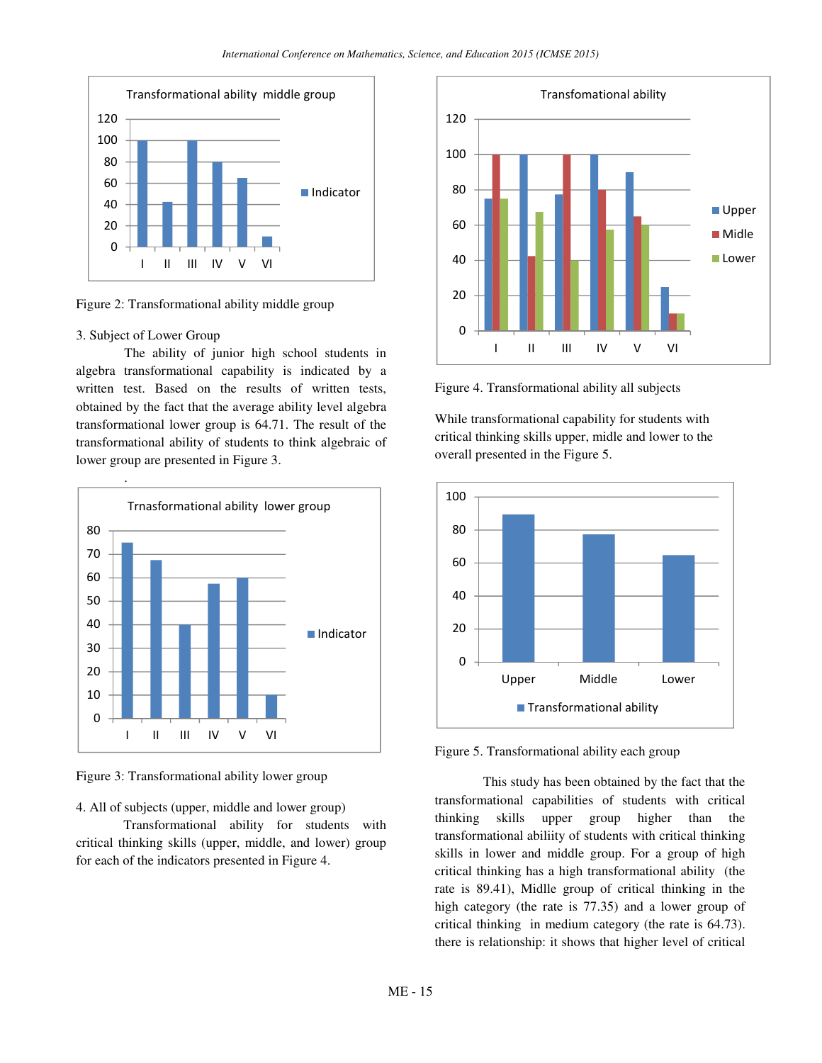

Figure 2: Transformational ability middle group

#### 3. Subject of Lower Group

The ability of junior high school students in algebra transformational capability is indicated by a written test. Based on the results of written tests, obtained by the fact that the average ability level algebra transformational lower group is 64.71. The result of the transformational ability of students to think algebraic of lower group are presented in Figure 3.



Figure 3: Transformational ability lower group

4. All of subjects (upper, middle and lower group)

Transformational ability for students with critical thinking skills (upper, middle, and lower) group for each of the indicators presented in Figure 4.



Figure 4. Transformational ability all subjects

While transformational capability for students with critical thinking skills upper, midle and lower to the overall presented in the Figure 5.





This study has been obtained by the fact that the transformational capabilities of students with critical thinking skills upper group higher than the transformational abiliity of students with critical thinking skills in lower and middle group. For a group of high critical thinking has a high transformational ability (the rate is 89.41), Midlle group of critical thinking in the high category (the rate is 77.35) and a lower group of critical thinking in medium category (the rate is 64.73). there is relationship: it shows that higher level of critical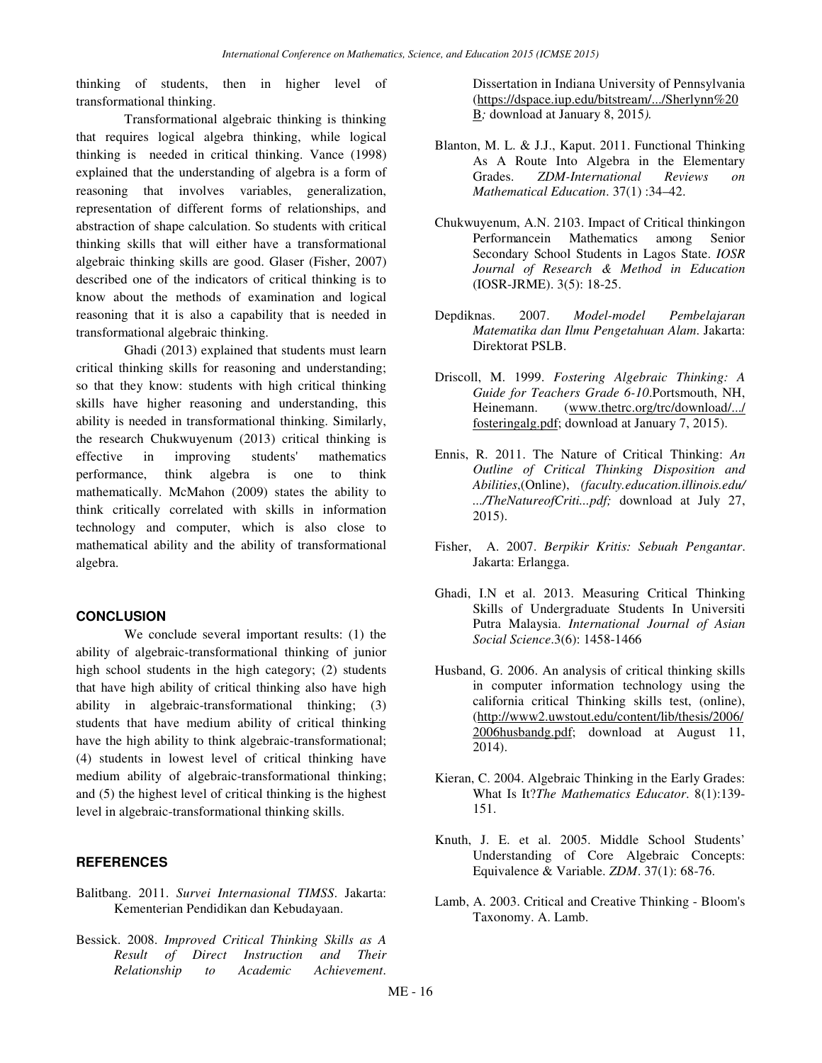thinking of students, then in higher level of transformational thinking.

Transformational algebraic thinking is thinking that requires logical algebra thinking, while logical thinking is needed in critical thinking. Vance (1998) explained that the understanding of algebra is a form of reasoning that involves variables, generalization, representation of different forms of relationships, and abstraction of shape calculation. So students with critical thinking skills that will either have a transformational algebraic thinking skills are good. Glaser (Fisher, 2007) described one of the indicators of critical thinking is to know about the methods of examination and logical reasoning that it is also a capability that is needed in transformational algebraic thinking.

Ghadi (2013) explained that students must learn critical thinking skills for reasoning and understanding; so that they know: students with high critical thinking skills have higher reasoning and understanding, this ability is needed in transformational thinking. Similarly, the research Chukwuyenum (2013) critical thinking is effective in improving students' mathematics performance, think algebra is one to think mathematically. McMahon (2009) states the ability to think critically correlated with skills in information technology and computer, which is also close to mathematical ability and the ability of transformational algebra.

#### **CONCLUSION**

We conclude several important results: (1) the ability of algebraic-transformational thinking of junior high school students in the high category; (2) students that have high ability of critical thinking also have high ability in algebraic-transformational thinking; (3) students that have medium ability of critical thinking have the high ability to think algebraic-transformational; (4) students in lowest level of critical thinking have medium ability of algebraic-transformational thinking; and (5) the highest level of critical thinking is the highest level in algebraic-transformational thinking skills.

## **REFERENCES**

- Balitbang. 2011. *Survei Internasional TIMSS*. Jakarta: Kementerian Pendidikan dan Kebudayaan.
- Bessick. 2008. *Improved Critical Thinking Skills as A Result of Direct Instruction and Their Relationship to Academic Achievement*.

Dissertation in Indiana University of Pennsylvania (https://dspace.iup.edu/bitstream/.../Sherlynn%20 B*;* download at January 8, 2015*).*

- Blanton, M. L. & J.J., Kaput. 2011. Functional Thinking As A Route Into Algebra in the Elementary Grades. *ZDM-International Reviews on Mathematical Education*. 37(1) :34–42.
- Chukwuyenum, A.N. 2103. Impact of Critical thinkingon Performancein Mathematics among Senior Secondary School Students in Lagos State. *IOSR Journal of Research & Method in Education*  (IOSR-JRME). 3(5): 18-25.
- Depdiknas. 2007. *Model-model Pembelajaran Matematika dan Ilmu Pengetahuan Alam*. Jakarta: Direktorat PSLB.
- Driscoll, M. 1999. *Fostering Algebraic Thinking: A Guide for Teachers Grade 6-10*.Portsmouth, NH, Heinemann. (www.thetrc.org/trc/download/.../ fosteringalg.pdf; download at January 7, 2015).
- Ennis, R. 2011. The Nature of Critical Thinking: *An Outline of Critical Thinking Disposition and Abilities*,(Online), *(faculty.education.illinois.edu/ .../TheNatureofCriti...pdf;* download at July 27, 2015).
- Fisher, A. 2007. *Berpikir Kritis: Sebuah Pengantar*. Jakarta: Erlangga.
- Ghadi, I.N et al. 2013. Measuring Critical Thinking Skills of Undergraduate Students In Universiti Putra Malaysia. *International Journal of Asian Social Science*.3(6): 1458-1466
- Husband, G. 2006. An analysis of critical thinking skills in computer information technology using the california critical Thinking skills test, (online), (http://www2.uwstout.edu/content/lib/thesis/2006/ 2006husbandg.pdf; download at August 11, 2014).
- Kieran, C. 2004. Algebraic Thinking in the Early Grades: What Is It?*The Mathematics Educator*. 8(1):139- 151.
- Knuth, J. E. et al. 2005. Middle School Students' Understanding of Core Algebraic Concepts: Equivalence & Variable. *ZDM*. 37(1): 68-76.
- Lamb, A. 2003. Critical and Creative Thinking Bloom's Taxonomy. A. Lamb.